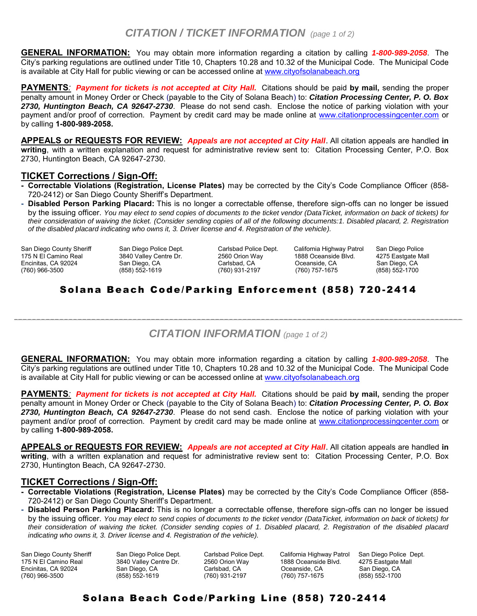# *CITATION / TICKET INFORMATION (page 1 of 2)*

**GENERAL INFORMATION:** You may obtain more information regarding a citation by calling *1-800-989-2058*. The City's parking regulations are outlined under Title 10, Chapters 10.28 and 10.32 of the Municipal Code. The Municipal Code is available at City Hall for public viewing or can be accessed online at [www.cityofsolanabeach.org](http://www.cityofsolanabeach.org/)

**PAYMENTS***: Payment for tickets is not accepted at City Hall.* Citations should be paid **by mail,** sending the proper penalty amount in Money Order or Check (payable to the City of Solana Beach) to: *Citation Processing Center, P. O. Box 2730, Huntington Beach, CA 92647-2730*. Please do not send cash. Enclose the notice of parking violation with your payment and/or proof of correction. Payment by credit card may be made online at [www.citationprocessingcenter.com](http://www.citationprocessingcenter.com/) or by calling **1-800-989-2058.** 

**APPEALS or REQUESTS FOR REVIEW:** *Appeals are not accepted at City Hall*. All citation appeals are handled **in writing**, with a written explanation and request for administrative review sent to: Citation Processing Center, P.O. Box 2730, Huntington Beach, CA 92647-2730.

### **TICKET Corrections / Sign-Off:**

- **Correctable Violations (Registration, License Plates)** may be corrected by the City's Code Compliance Officer (858- 720-2412) or San Diego County Sheriff's Department.
- **Disabled Person Parking Placard:** This is no longer a correctable offense, therefore sign-offs can no longer be issued by the issuing officer. *You may elect to send copies of documents to the ticket vendor (DataTicket, information on back of tickets) for their consideration of waiving the ticket. (Consider sending copies of all of the following documents:1. Disabled placard, 2. Registration of the disabled placard indicating who owns it, 3. Driver license and 4. Registration of the vehicle).*

San Diego County Sheriff 175 N El Camino Real Encinitas, CA 92024 (760) 966-3500

San Diego Police Dept. 3840 Valley Centre Dr. San Diego, CA (858) 552-1619

Carlsbad, CA Oceanside, CA<br>(760) 931-2197 (760) 757-1675

Carlsbad Police Dept. California Highway Patrol San Diego Police 2560 Orion Way 1888 Oceanside Blvd. 4275 Eastgate I<br>Carlsbad. CA Carlsbad. Oceanside, CA San Diego, CA (760) 931-2197 (760) 757-1675 (858) 552-1700

## Solana Beach Code/Parking Enforcement (858) 720 -2414